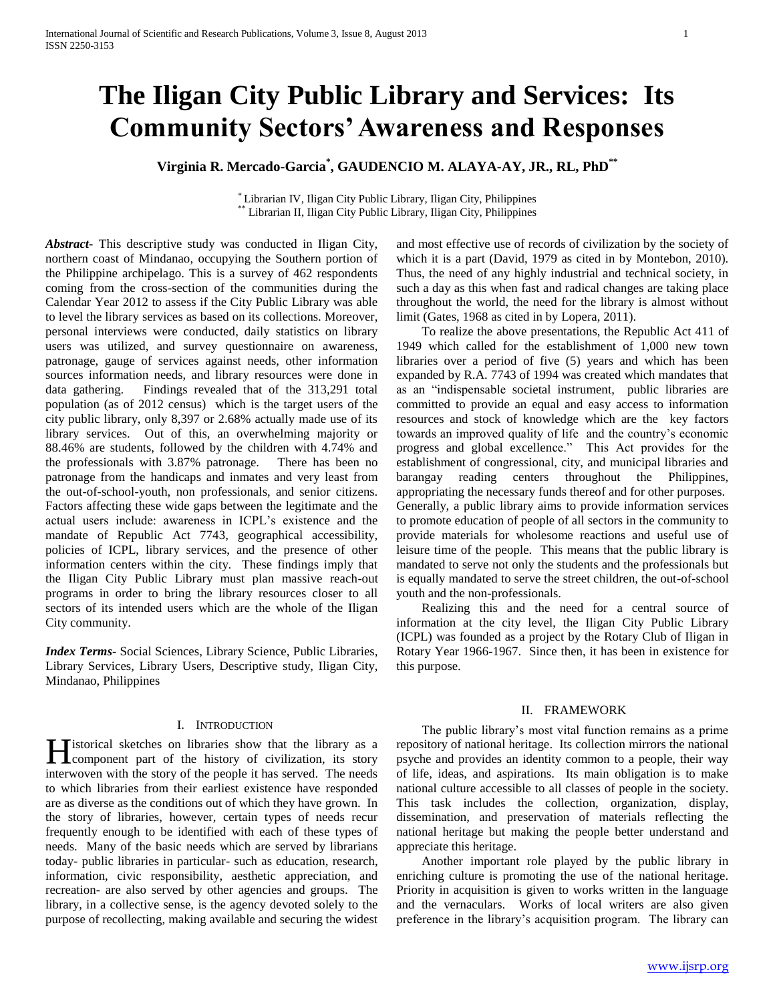# **The Iligan City Public Library and Services: Its Community Sectors' Awareness and Responses**

# **Virginia R. Mercado-Garcia\* , GAUDENCIO M. ALAYA-AY, JR., RL, PhD\*\***

\* Librarian IV, Iligan City Public Library, Iligan City, Philippines \*\* Librarian II, Iligan City Public Library, Iligan City, Philippines

*Abstract***-** This descriptive study was conducted in Iligan City, northern coast of Mindanao, occupying the Southern portion of the Philippine archipelago. This is a survey of 462 respondents coming from the cross-section of the communities during the Calendar Year 2012 to assess if the City Public Library was able to level the library services as based on its collections. Moreover, personal interviews were conducted, daily statistics on library users was utilized, and survey questionnaire on awareness, patronage, gauge of services against needs, other information sources information needs, and library resources were done in data gathering. Findings revealed that of the 313,291 total population (as of 2012 census) which is the target users of the city public library, only 8,397 or 2.68% actually made use of its library services. Out of this, an overwhelming majority or 88.46% are students, followed by the children with 4.74% and the professionals with 3.87% patronage. There has been no patronage from the handicaps and inmates and very least from the out-of-school-youth, non professionals, and senior citizens. Factors affecting these wide gaps between the legitimate and the actual users include: awareness in ICPL's existence and the mandate of Republic Act 7743, geographical accessibility, policies of ICPL, library services, and the presence of other information centers within the city. These findings imply that the Iligan City Public Library must plan massive reach-out programs in order to bring the library resources closer to all sectors of its intended users which are the whole of the Iligan City community.

*Index Terms*- Social Sciences, Library Science, Public Libraries, Library Services, Library Users, Descriptive study, Iligan City, Mindanao, Philippines

#### I. INTRODUCTION

**T** istorical sketches on libraries show that the library as a **H**istorical sketches on libraries show that the library as a component part of the history of civilization, its story interwoven with the story of the people it has served. The needs to which libraries from their earliest existence have responded are as diverse as the conditions out of which they have grown. In the story of libraries, however, certain types of needs recur frequently enough to be identified with each of these types of needs. Many of the basic needs which are served by librarians today- public libraries in particular- such as education, research, information, civic responsibility, aesthetic appreciation, and recreation- are also served by other agencies and groups. The library, in a collective sense, is the agency devoted solely to the purpose of recollecting, making available and securing the widest

and most effective use of records of civilization by the society of which it is a part (David, 1979 as cited in by Montebon, 2010). Thus, the need of any highly industrial and technical society, in such a day as this when fast and radical changes are taking place throughout the world, the need for the library is almost without limit (Gates, 1968 as cited in by Lopera, 2011).

 To realize the above presentations, the Republic Act 411 of 1949 which called for the establishment of 1,000 new town libraries over a period of five (5) years and which has been expanded by R.A. 7743 of 1994 was created which mandates that as an "indispensable societal instrument, public libraries are committed to provide an equal and easy access to information resources and stock of knowledge which are the key factors towards an improved quality of life and the country's economic progress and global excellence." This Act provides for the establishment of congressional, city, and municipal libraries and barangay reading centers throughout the Philippines, appropriating the necessary funds thereof and for other purposes. Generally, a public library aims to provide information services to promote education of people of all sectors in the community to provide materials for wholesome reactions and useful use of leisure time of the people. This means that the public library is mandated to serve not only the students and the professionals but is equally mandated to serve the street children, the out-of-school youth and the non-professionals.

 Realizing this and the need for a central source of information at the city level, the Iligan City Public Library (ICPL) was founded as a project by the Rotary Club of Iligan in Rotary Year 1966-1967. Since then, it has been in existence for this purpose.

#### II. FRAMEWORK

 The public library's most vital function remains as a prime repository of national heritage. Its collection mirrors the national psyche and provides an identity common to a people, their way of life, ideas, and aspirations. Its main obligation is to make national culture accessible to all classes of people in the society. This task includes the collection, organization, display, dissemination, and preservation of materials reflecting the national heritage but making the people better understand and appreciate this heritage.

 Another important role played by the public library in enriching culture is promoting the use of the national heritage. Priority in acquisition is given to works written in the language and the vernaculars. Works of local writers are also given preference in the library's acquisition program. The library can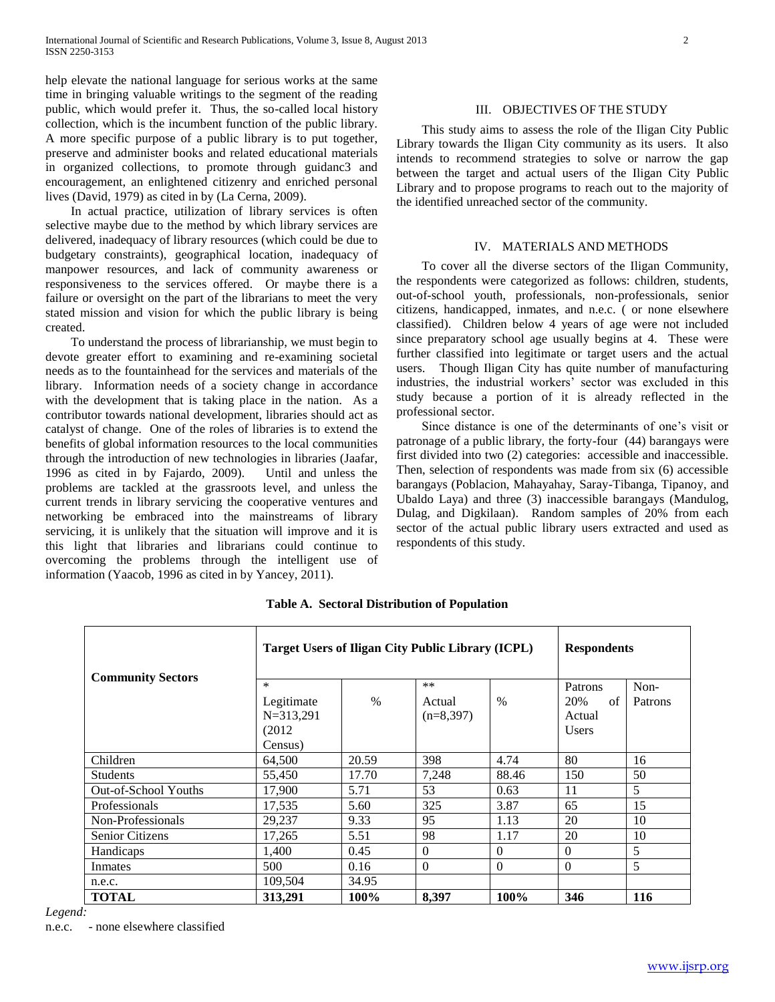help elevate the national language for serious works at the same time in bringing valuable writings to the segment of the reading public, which would prefer it. Thus, the so-called local history collection, which is the incumbent function of the public library. A more specific purpose of a public library is to put together, preserve and administer books and related educational materials in organized collections, to promote through guidanc3 and encouragement, an enlightened citizenry and enriched personal lives (David, 1979) as cited in by (La Cerna, 2009).

 In actual practice, utilization of library services is often selective maybe due to the method by which library services are delivered, inadequacy of library resources (which could be due to budgetary constraints), geographical location, inadequacy of manpower resources, and lack of community awareness or responsiveness to the services offered. Or maybe there is a failure or oversight on the part of the librarians to meet the very stated mission and vision for which the public library is being created.

 To understand the process of librarianship, we must begin to devote greater effort to examining and re-examining societal needs as to the fountainhead for the services and materials of the library. Information needs of a society change in accordance with the development that is taking place in the nation. As a contributor towards national development, libraries should act as catalyst of change. One of the roles of libraries is to extend the benefits of global information resources to the local communities through the introduction of new technologies in libraries (Jaafar, 1996 as cited in by Fajardo, 2009). Until and unless the problems are tackled at the grassroots level, and unless the current trends in library servicing the cooperative ventures and networking be embraced into the mainstreams of library servicing, it is unlikely that the situation will improve and it is this light that libraries and librarians could continue to overcoming the problems through the intelligent use of information (Yaacob, 1996 as cited in by Yancey, 2011).

 This study aims to assess the role of the Iligan City Public Library towards the Iligan City community as its users. It also intends to recommend strategies to solve or narrow the gap between the target and actual users of the Iligan City Public Library and to propose programs to reach out to the majority of the identified unreached sector of the community.

III. OBJECTIVES OF THE STUDY

# IV. MATERIALS AND METHODS

 To cover all the diverse sectors of the Iligan Community, the respondents were categorized as follows: children, students, out-of-school youth, professionals, non-professionals, senior citizens, handicapped, inmates, and n.e.c. ( or none elsewhere classified). Children below 4 years of age were not included since preparatory school age usually begins at 4. These were further classified into legitimate or target users and the actual users. Though Iligan City has quite number of manufacturing industries, the industrial workers' sector was excluded in this study because a portion of it is already reflected in the professional sector.

 Since distance is one of the determinants of one's visit or patronage of a public library, the forty-four (44) barangays were first divided into two (2) categories: accessible and inaccessible. Then, selection of respondents was made from six (6) accessible barangays (Poblacion, Mahayahay, Saray-Tibanga, Tipanoy, and Ubaldo Laya) and three (3) inaccessible barangays (Mandulog, Dulag, and Digkilaan). Random samples of 20% from each sector of the actual public library users extracted and used as respondents of this study.

| <b>Community Sectors</b>    | <b>Target Users of Iligan City Public Library (ICPL)</b> |       |             |               | <b>Respondents</b> |         |
|-----------------------------|----------------------------------------------------------|-------|-------------|---------------|--------------------|---------|
|                             | $\ast$                                                   |       | $***$       |               | Patrons            | Non-    |
|                             | Legitimate                                               | $\%$  | Actual      | $\frac{0}{0}$ | 20%<br>of          | Patrons |
|                             | $N = 313,291$                                            |       | $(n=8,397)$ |               | Actual             |         |
|                             | (2012)                                                   |       |             |               | <b>Users</b>       |         |
|                             | Census)                                                  |       |             |               |                    |         |
| Children                    | 64,500                                                   | 20.59 | 398         | 4.74          | 80                 | 16      |
| <b>Students</b>             | 55,450                                                   | 17.70 | 7,248       | 88.46         | 150                | 50      |
| <b>Out-of-School Youths</b> | 17,900                                                   | 5.71  | 53          | 0.63          | 11                 | 5       |
| <b>Professionals</b>        | 17,535                                                   | 5.60  | 325         | 3.87          | 65                 | 15      |
| Non-Professionals           | 29,237                                                   | 9.33  | 95          | 1.13          | 20                 | 10      |
| <b>Senior Citizens</b>      | 17,265                                                   | 5.51  | 98          | 1.17          | 20                 | 10      |
| Handicaps                   | 1,400                                                    | 0.45  | $\Omega$    | $\Omega$      | $\Omega$           | 5       |
| Inmates                     | 500                                                      | 0.16  | $\theta$    | $\Omega$      | $\Omega$           | 5       |
| n.e.c.                      | 109,504                                                  | 34.95 |             |               |                    |         |
| <b>TOTAL</b>                | 313,291                                                  | 100%  | 8,397       | 100%          | 346                | 116     |

**Table A. Sectoral Distribution of Population**

*Legend:*

n.e.c. - none elsewhere classified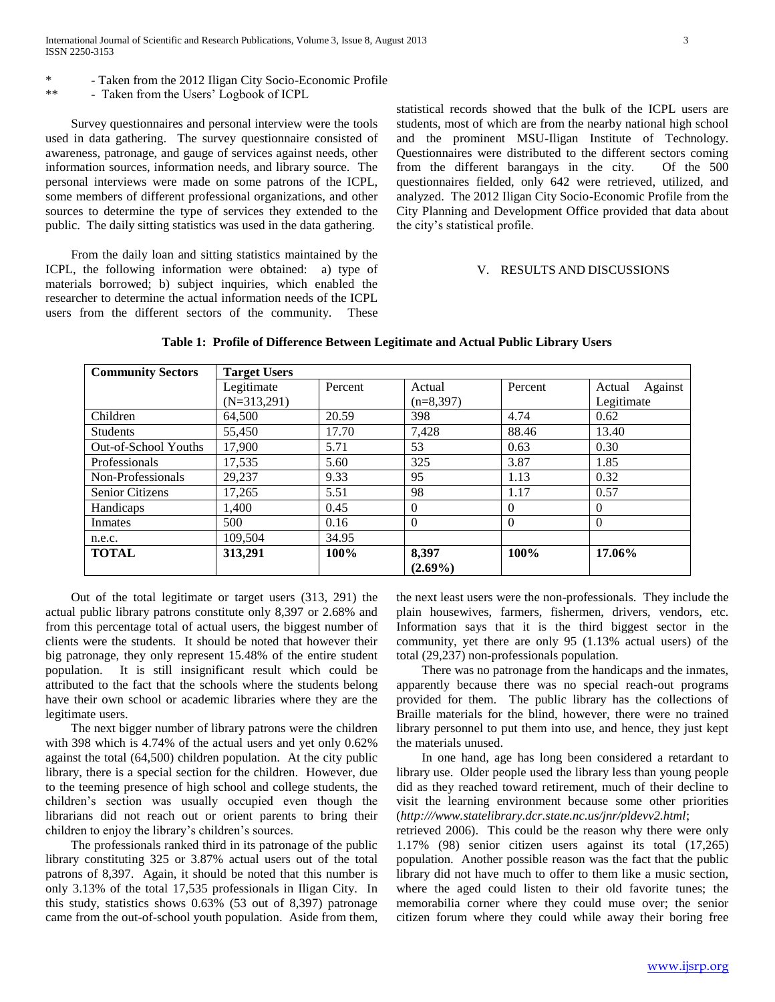- \* Taken from the 2012 Iligan City Socio-Economic Profile
- \*\* Taken from the Users' Logbook of ICPL

 Survey questionnaires and personal interview were the tools used in data gathering. The survey questionnaire consisted of awareness, patronage, and gauge of services against needs, other information sources, information needs, and library source. The personal interviews were made on some patrons of the ICPL, some members of different professional organizations, and other sources to determine the type of services they extended to the public. The daily sitting statistics was used in the data gathering.

 From the daily loan and sitting statistics maintained by the ICPL, the following information were obtained: a) type of materials borrowed; b) subject inquiries, which enabled the researcher to determine the actual information needs of the ICPL users from the different sectors of the community. These statistical records showed that the bulk of the ICPL users are students, most of which are from the nearby national high school and the prominent MSU-Iligan Institute of Technology. Questionnaires were distributed to the different sectors coming from the different barangays in the city. Of the 500 questionnaires fielded, only 642 were retrieved, utilized, and analyzed. The 2012 Iligan City Socio-Economic Profile from the City Planning and Development Office provided that data about the city's statistical profile.

#### V. RESULTS AND DISCUSSIONS

| <b>Community Sectors</b>    | <b>Target Users</b> |         |                     |          |                   |
|-----------------------------|---------------------|---------|---------------------|----------|-------------------|
|                             | Legitimate          | Percent | Actual              | Percent  | Against<br>Actual |
|                             | $(N=313,291)$       |         | $(n=8,397)$         |          | Legitimate        |
| Children                    | 64.500              | 20.59   | 398                 | 4.74     | 0.62              |
| <b>Students</b>             | 55,450              | 17.70   | 7,428               | 88.46    | 13.40             |
| <b>Out-of-School Youths</b> | 17,900              | 5.71    | 53                  | 0.63     | 0.30              |
| Professionals               | 17,535              | 5.60    | 325                 | 3.87     | 1.85              |
| Non-Professionals           | 29.237              | 9.33    | 95                  | 1.13     | 0.32              |
| <b>Senior Citizens</b>      | 17,265              | 5.51    | 98                  | 1.17     | 0.57              |
| Handicaps                   | 1.400               | 0.45    | $\theta$            | $\Omega$ | $\Omega$          |
| Inmates                     | 500                 | 0.16    | $\theta$            | $\Omega$ | $\theta$          |
| n.e.c.                      | 109.504             | 34.95   |                     |          |                   |
| <b>TOTAL</b>                | 313,291             | 100%    | 8,397<br>$(2.69\%)$ | 100%     | 17.06%            |
|                             |                     |         |                     |          |                   |

**Table 1: Profile of Difference Between Legitimate and Actual Public Library Users**

 Out of the total legitimate or target users (313, 291) the actual public library patrons constitute only 8,397 or 2.68% and from this percentage total of actual users, the biggest number of clients were the students. It should be noted that however their big patronage, they only represent 15.48% of the entire student population. It is still insignificant result which could be attributed to the fact that the schools where the students belong have their own school or academic libraries where they are the legitimate users.

 The next bigger number of library patrons were the children with 398 which is 4.74% of the actual users and yet only 0.62% against the total (64,500) children population. At the city public library, there is a special section for the children. However, due to the teeming presence of high school and college students, the children's section was usually occupied even though the librarians did not reach out or orient parents to bring their children to enjoy the library's children's sources.

 The professionals ranked third in its patronage of the public library constituting 325 or 3.87% actual users out of the total patrons of 8,397. Again, it should be noted that this number is only 3.13% of the total 17,535 professionals in Iligan City. In this study, statistics shows 0.63% (53 out of 8,397) patronage came from the out-of-school youth population. Aside from them,

the next least users were the non-professionals. They include the plain housewives, farmers, fishermen, drivers, vendors, etc. Information says that it is the third biggest sector in the community, yet there are only 95 (1.13% actual users) of the total (29,237) non-professionals population.

 There was no patronage from the handicaps and the inmates, apparently because there was no special reach-out programs provided for them. The public library has the collections of Braille materials for the blind, however, there were no trained library personnel to put them into use, and hence, they just kept the materials unused.

 In one hand, age has long been considered a retardant to library use. Older people used the library less than young people did as they reached toward retirement, much of their decline to visit the learning environment because some other priorities (*http:///www.statelibrary.dcr.state.nc.us/jnr/pldevv2.html*;

retrieved 2006). This could be the reason why there were only 1.17% (98) senior citizen users against its total (17,265) population. Another possible reason was the fact that the public library did not have much to offer to them like a music section, where the aged could listen to their old favorite tunes; the memorabilia corner where they could muse over; the senior citizen forum where they could while away their boring free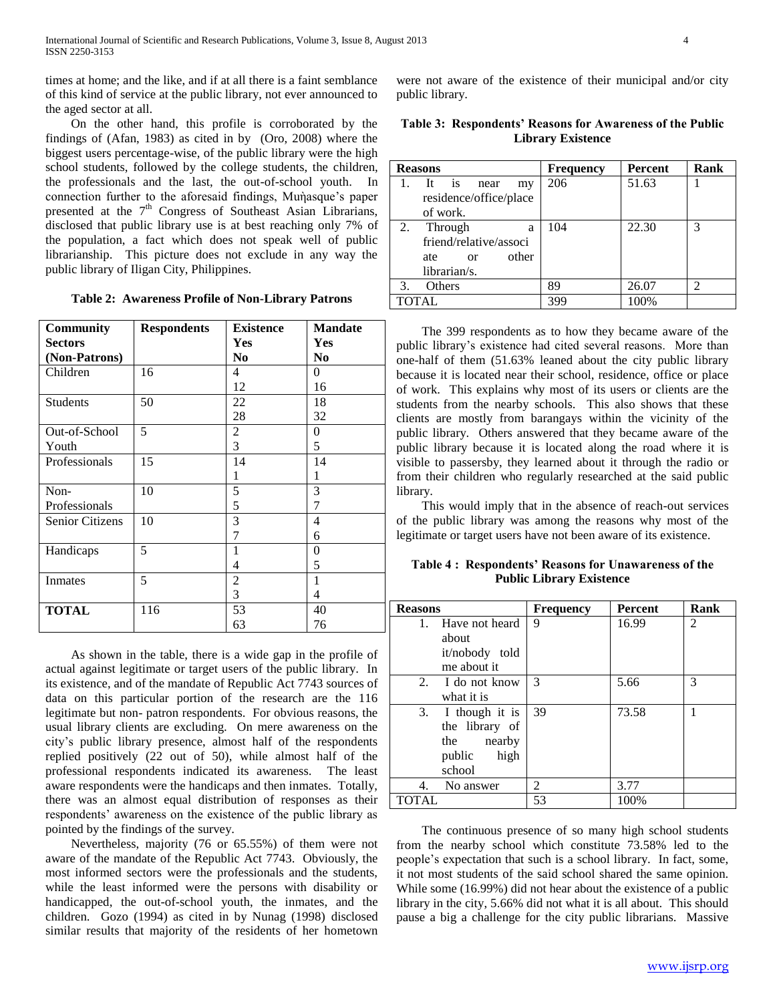times at home; and the like, and if at all there is a faint semblance of this kind of service at the public library, not ever announced to the aged sector at all.

 On the other hand, this profile is corroborated by the findings of (Afan, 1983) as cited in by (Oro, 2008) where the biggest users percentage-wise, of the public library were the high school students, followed by the college students, the children, the professionals and the last, the out-of-school youth. In connection further to the aforesaid findings, Muὴasque's paper presented at the 7<sup>th</sup> Congress of Southeast Asian Librarians, disclosed that public library use is at best reaching only 7% of the population, a fact which does not speak well of public librarianship. This picture does not exclude in any way the public library of Iligan City, Philippines.

**Table 2: Awareness Profile of Non-Library Patrons**

| <b>Community</b>       | <b>Respondents</b> | <b>Existence</b> | <b>Mandate</b> |
|------------------------|--------------------|------------------|----------------|
| <b>Sectors</b>         |                    | Yes              | Yes            |
| (Non-Patrons)          |                    | N <sub>0</sub>   | N <sub>0</sub> |
| Children               | 16                 | 4                | 0              |
|                        |                    | 12               | 16             |
| <b>Students</b>        | 50                 | 22               | 18             |
|                        |                    | 28               | 32             |
| Out-of-School          | 5                  | $\overline{c}$   | $\theta$       |
| Youth                  |                    | 3                | 5              |
| Professionals          | 15                 | 14               | 14             |
|                        |                    | 1                | 1              |
| Non-                   | 10                 | 5                | 3              |
| Professionals          |                    | 5                | 7              |
| <b>Senior Citizens</b> | 10                 | 3                | $\overline{4}$ |
|                        |                    | 7                | 6              |
| Handicaps              | 5                  | 1                | $\overline{0}$ |
|                        |                    | 4                | 5              |
| Inmates                | 5                  | 2                | 1              |
|                        |                    | 3                | 4              |
| <b>TOTAL</b>           | 116                | 53               | 40             |
|                        |                    | 63               | 76             |

 As shown in the table, there is a wide gap in the profile of actual against legitimate or target users of the public library. In its existence, and of the mandate of Republic Act 7743 sources of data on this particular portion of the research are the 116 legitimate but non- patron respondents. For obvious reasons, the usual library clients are excluding. On mere awareness on the city's public library presence, almost half of the respondents replied positively (22 out of 50), while almost half of the professional respondents indicated its awareness. The least aware respondents were the handicaps and then inmates. Totally, there was an almost equal distribution of responses as their respondents' awareness on the existence of the public library as pointed by the findings of the survey.

 Nevertheless, majority (76 or 65.55%) of them were not aware of the mandate of the Republic Act 7743. Obviously, the most informed sectors were the professionals and the students, while the least informed were the persons with disability or handicapped, the out-of-school youth, the inmates, and the children. Gozo (1994) as cited in by Nunag (1998) disclosed similar results that majority of the residents of her hometown

were not aware of the existence of their municipal and/or city public library.

| Table 3: Respondents' Reasons for Awareness of the Public |  |
|-----------------------------------------------------------|--|
| <b>Library Existence</b>                                  |  |

| <b>Reasons</b>                | <b>Frequency</b> | Percent | Rank           |
|-------------------------------|------------------|---------|----------------|
| is<br>It<br>1.<br>near<br>my  | 206              | 51.63   |                |
| residence/office/place        |                  |         |                |
| of work.                      |                  |         |                |
| 2.<br>Through<br>a            | 104              | 22.30   | 3              |
| friend/relative/associ        |                  |         |                |
| other<br>ate<br><sub>or</sub> |                  |         |                |
| librarian/s.                  |                  |         |                |
| 3.<br>Others                  | 89               | 26.07   | $\mathfrak{D}$ |
| <b>TOTAL</b>                  | 399              | 100%    |                |

 The 399 respondents as to how they became aware of the public library's existence had cited several reasons. More than one-half of them (51.63% leaned about the city public library because it is located near their school, residence, office or place of work. This explains why most of its users or clients are the students from the nearby schools. This also shows that these clients are mostly from barangays within the vicinity of the public library. Others answered that they became aware of the public library because it is located along the road where it is visible to passersby, they learned about it through the radio or from their children who regularly researched at the said public library.

 This would imply that in the absence of reach-out services of the public library was among the reasons why most of the legitimate or target users have not been aware of its existence.

**Table 4 : Respondents' Reasons for Unawareness of the Public Library Existence**

| <b>Reasons</b> |                   | <b>Frequency</b> | <b>Percent</b> | Rank |
|----------------|-------------------|------------------|----------------|------|
| 1.             | Have not heard    | 9                | 16.99          | 2    |
|                | about             |                  |                |      |
|                | it/nobody told    |                  |                |      |
|                | me about it       |                  |                |      |
|                | 2. I do not know  | 3                | 5.66           | 3    |
|                | what it is        |                  |                |      |
|                | 3. I though it is | 39               | 73.58          |      |
|                | the library of    |                  |                |      |
|                | the nearby        |                  |                |      |
|                | public<br>high    |                  |                |      |
|                | school            |                  |                |      |
| 4.             | No answer         | 2                | 3.77           |      |
| <b>TOTAL</b>   |                   | 53               | 100%           |      |

 The continuous presence of so many high school students from the nearby school which constitute 73.58% led to the people's expectation that such is a school library. In fact, some, it not most students of the said school shared the same opinion. While some (16.99%) did not hear about the existence of a public library in the city, 5.66% did not what it is all about. This should pause a big a challenge for the city public librarians. Massive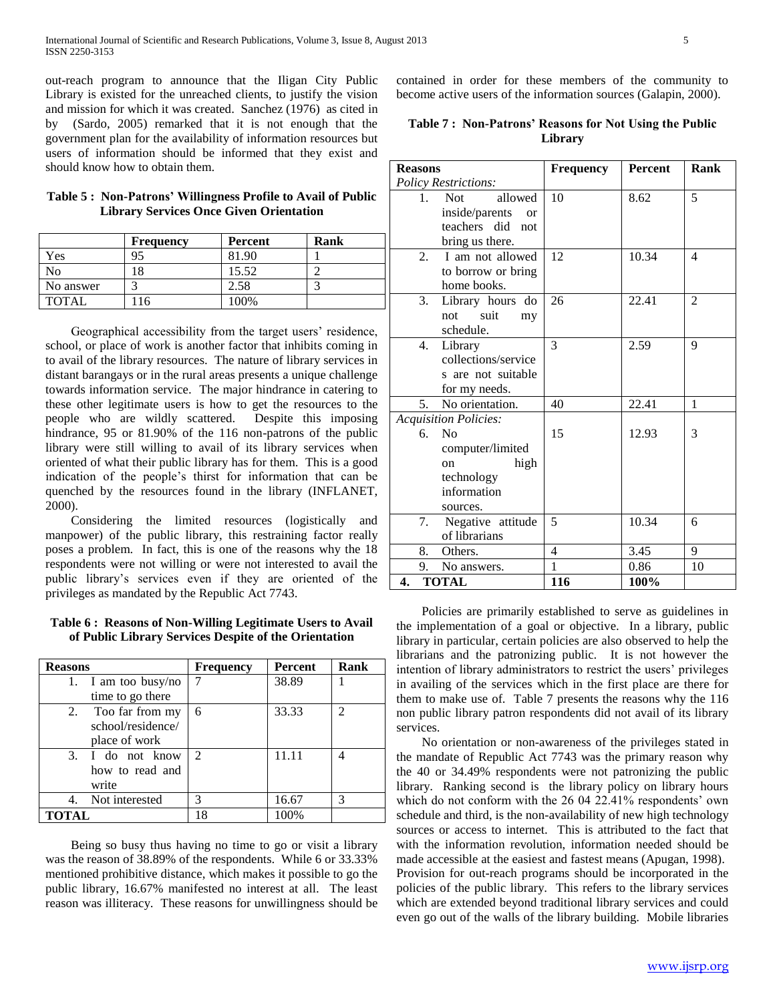out-reach program to announce that the Iligan City Public Library is existed for the unreached clients, to justify the vision and mission for which it was created. Sanchez (1976) as cited in by (Sardo, 2005) remarked that it is not enough that the government plan for the availability of information resources but users of information should be informed that they exist and should know how to obtain them.

# **Table 5 : Non-Patrons' Willingness Profile to Avail of Public Library Services Once Given Orientation**

|              | <b>Frequency</b> | Percent | Rank |
|--------------|------------------|---------|------|
| Yes          |                  | 81.90   |      |
| No           |                  | 15.52   |      |
| No answer    |                  | 2.58    |      |
| <b>TOTAL</b> |                  | 100%    |      |

 Geographical accessibility from the target users' residence, school, or place of work is another factor that inhibits coming in to avail of the library resources. The nature of library services in distant barangays or in the rural areas presents a unique challenge towards information service. The major hindrance in catering to these other legitimate users is how to get the resources to the people who are wildly scattered. Despite this imposing hindrance, 95 or 81.90% of the 116 non-patrons of the public library were still willing to avail of its library services when oriented of what their public library has for them. This is a good indication of the people's thirst for information that can be quenched by the resources found in the library (INFLANET, 2000).

 Considering the limited resources (logistically and manpower) of the public library, this restraining factor really poses a problem. In fact, this is one of the reasons why the 18 respondents were not willing or were not interested to avail the public library's services even if they are oriented of the privileges as mandated by the Republic Act 7743.

**Table 6 : Reasons of Non-Willing Legitimate Users to Avail of Public Library Services Despite of the Orientation**

| <b>Reasons</b> |                     | <b>Frequency</b> | <b>Percent</b> | Rank |
|----------------|---------------------|------------------|----------------|------|
|                | 1. I am too busy/no |                  | 38.89          |      |
|                | time to go there    |                  |                |      |
|                | 2. Too far from my  | 6                | 33.33          |      |
|                | school/residence/   |                  |                |      |
|                | place of work       |                  |                |      |
|                | 3. I do not know    | $\overline{2}$   | 11.11          |      |
|                | how to read and     |                  |                |      |
|                | write               |                  |                |      |
|                | 4. Not interested   | 3                | 16.67          |      |
| <b>TOTAL</b>   |                     | 18               | 100%           |      |

 Being so busy thus having no time to go or visit a library was the reason of 38.89% of the respondents. While 6 or 33.33% mentioned prohibitive distance, which makes it possible to go the public library, 16.67% manifested no interest at all. The least reason was illiteracy. These reasons for unwillingness should be contained in order for these members of the community to become active users of the information sources (Galapin, 2000).

# **Table 7 : Non-Patrons' Reasons for Not Using the Public Library**

| <b>Reasons</b> |                                                                                                      | <b>Frequency</b>         | <b>Percent</b> | Rank           |
|----------------|------------------------------------------------------------------------------------------------------|--------------------------|----------------|----------------|
|                | <b>Policy Restrictions:</b>                                                                          |                          |                |                |
| 1.             | allowed<br><b>Not</b><br>inside/parents or<br>teachers did<br>not<br>bring us there.                 | 10                       | 8.62           | 5              |
| 2.             | I am not allowed<br>to borrow or bring<br>home books.                                                | 12                       | 10.34          | 4              |
| 3.             | Library hours do<br>suit<br>not<br>my<br>schedule.                                                   | 26                       | 22.41          | $\mathfrak{D}$ |
|                | 4. Library<br>collections/service<br>s are not suitable<br>for my needs.                             | 3                        | 2.59           | 9              |
| 5.             | No orientation.                                                                                      | 40                       | 22.41          | 1              |
|                | <b>Acquisition Policies:</b>                                                                         |                          |                |                |
| 6.             | N <sub>0</sub><br>computer/limited<br>high<br><sub>on</sub><br>technology<br>information<br>sources. | 15                       | 12.93          | 3              |
| 7.             | Negative attitude<br>of librarians                                                                   | 5                        | 10.34          | 6              |
| 8.             | Others.                                                                                              | $\overline{\mathcal{L}}$ | 3.45           | 9              |
| 9.             | No answers.                                                                                          | 1                        | 0.86           | 10             |
| 4.             | <b>TOTAL</b>                                                                                         | 116                      | 100%           |                |

 Policies are primarily established to serve as guidelines in the implementation of a goal or objective. In a library, public library in particular, certain policies are also observed to help the librarians and the patronizing public. It is not however the intention of library administrators to restrict the users' privileges in availing of the services which in the first place are there for them to make use of. Table 7 presents the reasons why the 116 non public library patron respondents did not avail of its library services.

 No orientation or non-awareness of the privileges stated in the mandate of Republic Act 7743 was the primary reason why the 40 or 34.49% respondents were not patronizing the public library. Ranking second is the library policy on library hours which do not conform with the 26 04 22.41% respondents' own schedule and third, is the non-availability of new high technology sources or access to internet. This is attributed to the fact that with the information revolution, information needed should be made accessible at the easiest and fastest means (Apugan, 1998). Provision for out-reach programs should be incorporated in the policies of the public library. This refers to the library services which are extended beyond traditional library services and could even go out of the walls of the library building. Mobile libraries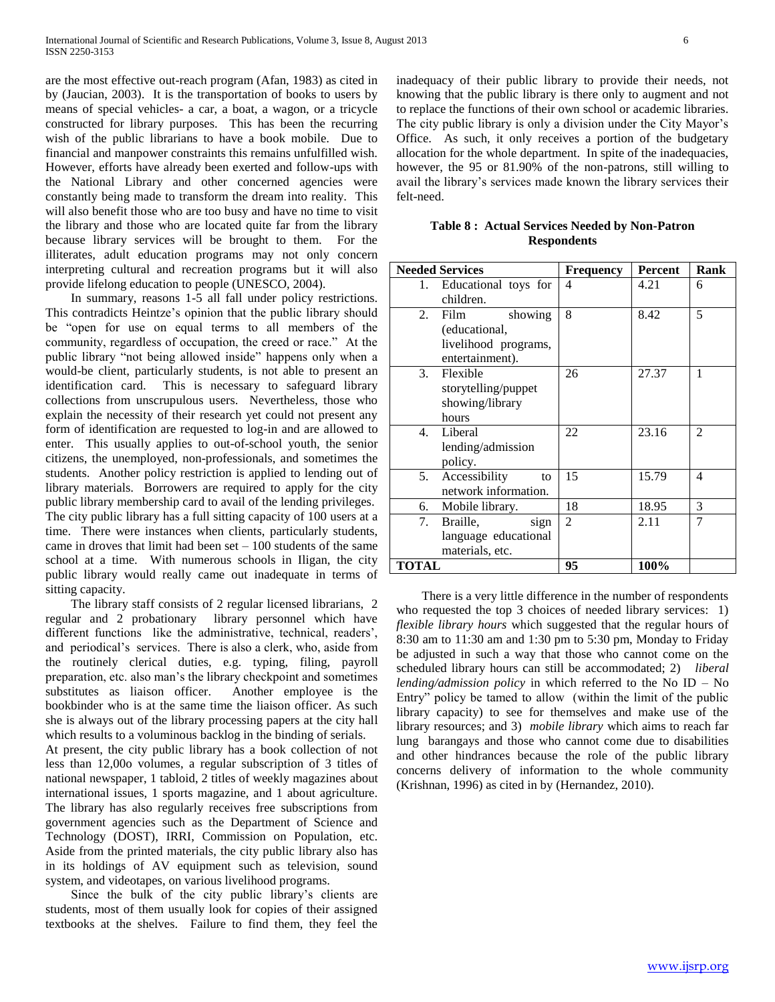are the most effective out-reach program (Afan, 1983) as cited in by (Jaucian, 2003). It is the transportation of books to users by means of special vehicles- a car, a boat, a wagon, or a tricycle constructed for library purposes. This has been the recurring wish of the public librarians to have a book mobile. Due to financial and manpower constraints this remains unfulfilled wish. However, efforts have already been exerted and follow-ups with the National Library and other concerned agencies were constantly being made to transform the dream into reality. This will also benefit those who are too busy and have no time to visit the library and those who are located quite far from the library because library services will be brought to them. For the illiterates, adult education programs may not only concern interpreting cultural and recreation programs but it will also provide lifelong education to people (UNESCO, 2004).

 In summary, reasons 1-5 all fall under policy restrictions. This contradicts Heintze's opinion that the public library should be "open for use on equal terms to all members of the community, regardless of occupation, the creed or race." At the public library "not being allowed inside" happens only when a would-be client, particularly students, is not able to present an identification card. This is necessary to safeguard library collections from unscrupulous users. Nevertheless, those who explain the necessity of their research yet could not present any form of identification are requested to log-in and are allowed to enter. This usually applies to out-of-school youth, the senior citizens, the unemployed, non-professionals, and sometimes the students. Another policy restriction is applied to lending out of library materials. Borrowers are required to apply for the city public library membership card to avail of the lending privileges. The city public library has a full sitting capacity of 100 users at a time. There were instances when clients, particularly students, came in droves that limit had been set – 100 students of the same school at a time. With numerous schools in Iligan, the city public library would really came out inadequate in terms of sitting capacity.

 The library staff consists of 2 regular licensed librarians, 2 regular and 2 probationary library personnel which have different functions like the administrative, technical, readers', and periodical's services. There is also a clerk, who, aside from the routinely clerical duties, e.g. typing, filing, payroll preparation, etc. also man's the library checkpoint and sometimes substitutes as liaison officer. Another employee is the bookbinder who is at the same time the liaison officer. As such she is always out of the library processing papers at the city hall which results to a voluminous backlog in the binding of serials.

At present, the city public library has a book collection of not less than 12,00o volumes, a regular subscription of 3 titles of national newspaper, 1 tabloid, 2 titles of weekly magazines about international issues, 1 sports magazine, and 1 about agriculture. The library has also regularly receives free subscriptions from government agencies such as the Department of Science and Technology (DOST), IRRI, Commission on Population, etc. Aside from the printed materials, the city public library also has in its holdings of AV equipment such as television, sound system, and videotapes, on various livelihood programs.

 Since the bulk of the city public library's clients are students, most of them usually look for copies of their assigned textbooks at the shelves. Failure to find them, they feel the inadequacy of their public library to provide their needs, not knowing that the public library is there only to augment and not to replace the functions of their own school or academic libraries. The city public library is only a division under the City Mayor's Office. As such, it only receives a portion of the budgetary allocation for the whole department. In spite of the inadequacies, however, the 95 or 81.90% of the non-patrons, still willing to avail the library's services made known the library services their felt-need.

| Table 8: Actual Services Needed by Non-Patron |
|-----------------------------------------------|
| <b>Respondents</b>                            |

|              | <b>Needed Services</b>  | <b>Frequency</b> | <b>Percent</b> | Rank           |
|--------------|-------------------------|------------------|----------------|----------------|
|              | 1. Educational toys for | 4                | 4.21           | 6              |
|              | children.               |                  |                |                |
| 2.           | Film<br>showing         | 8                | 8.42           | 5              |
|              | (educational,           |                  |                |                |
|              | livelihood programs,    |                  |                |                |
|              | entertainment).         |                  |                |                |
| 3.           | Flexible                | 26               | 27.37          | 1              |
|              | storytelling/puppet     |                  |                |                |
|              | showing/library         |                  |                |                |
|              | hours                   |                  |                |                |
| 4.           | Liberal                 | 22               | 23.16          | 2              |
|              | lending/admission       |                  |                |                |
|              | policy.                 |                  |                |                |
| 5.           | Accessibility<br>to     | 15               | 15.79          | 4              |
|              | network information.    |                  |                |                |
| 6.           | Mobile library.         | 18               | 18.95          | 3              |
| 7.           | Braille,<br>sign        | $\overline{2}$   | 2.11           | $\overline{7}$ |
|              | language educational    |                  |                |                |
|              | materials, etc.         |                  |                |                |
| <b>TOTAL</b> |                         | 95               | 100%           |                |

 There is a very little difference in the number of respondents who requested the top 3 choices of needed library services: 1) *flexible library hours* which suggested that the regular hours of 8:30 am to 11:30 am and 1:30 pm to 5:30 pm, Monday to Friday be adjusted in such a way that those who cannot come on the scheduled library hours can still be accommodated; 2) *liberal lending/admission policy* in which referred to the No ID – No Entry" policy be tamed to allow (within the limit of the public library capacity) to see for themselves and make use of the library resources; and 3) *mobile library* which aims to reach far lung barangays and those who cannot come due to disabilities and other hindrances because the role of the public library concerns delivery of information to the whole community (Krishnan, 1996) as cited in by (Hernandez, 2010).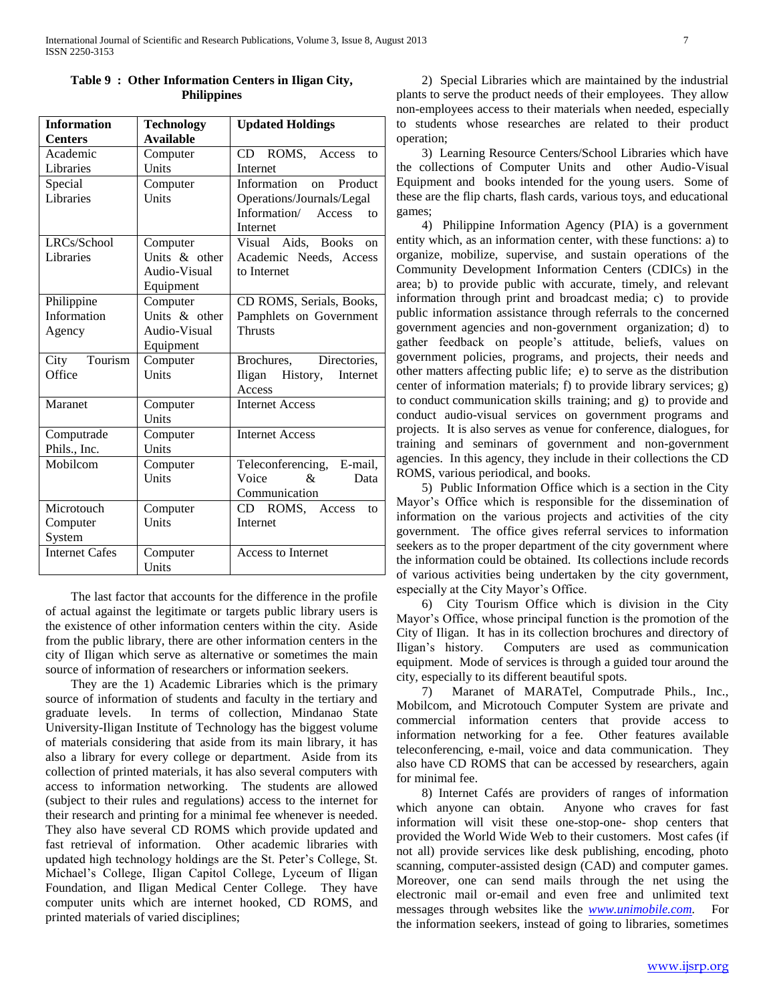| <b>Information</b>    |                                       | <b>Updated Holdings</b>        |
|-----------------------|---------------------------------------|--------------------------------|
| <b>Centers</b>        | <b>Technology</b><br><b>Available</b> |                                |
|                       |                                       |                                |
| Academic              | Computer                              | CD ROMS, Access<br>to          |
| Libraries             | Units                                 | Internet                       |
| Special               | Computer                              | Information<br>Product<br>on   |
| Libraries             | <b>Units</b>                          | Operations/Journals/Legal      |
|                       |                                       | Information/<br>Access<br>tο   |
|                       |                                       | <b>Internet</b>                |
| LRCs/School           | Computer                              | Visual Aids, Books on          |
| Libraries             | Units $\&$ other                      | Academic Needs, Access         |
|                       | Audio-Visual                          | to Internet                    |
|                       | Equipment                             |                                |
| Philippine            | Computer                              | CD ROMS, Serials, Books,       |
| Information           | Units & other                         | Pamphlets on Government        |
| Agency                | Audio-Visual                          | <b>Thrusts</b>                 |
|                       | Equipment                             |                                |
| Tourism<br>City       | Computer                              | Directories,<br>Brochures,     |
| Office                | Units                                 | Iligan<br>History,<br>Internet |
|                       |                                       | Access                         |
| Maranet               | Computer                              | <b>Internet Access</b>         |
|                       | Units                                 |                                |
| Computrade            | Computer                              | <b>Internet Access</b>         |
| Phils., Inc.          | Units                                 |                                |
| Mobilcom              | Computer                              | Teleconferencing, E-mail,      |
|                       | <b>Units</b>                          | Voice<br>&<br>Data             |
|                       |                                       | Communication                  |
| Microtouch            | Computer                              | CD ROMS, Access<br>to          |
| Computer              | Units                                 | Internet                       |
| System                |                                       |                                |
| <b>Internet Cafes</b> | Computer                              | Access to Internet             |
|                       | Units                                 |                                |

### **Table 9 : Other Information Centers in Iligan City, Philippines**

 The last factor that accounts for the difference in the profile of actual against the legitimate or targets public library users is the existence of other information centers within the city. Aside from the public library, there are other information centers in the city of Iligan which serve as alternative or sometimes the main source of information of researchers or information seekers.

 They are the 1) Academic Libraries which is the primary source of information of students and faculty in the tertiary and graduate levels. In terms of collection, Mindanao State University-Iligan Institute of Technology has the biggest volume of materials considering that aside from its main library, it has also a library for every college or department. Aside from its collection of printed materials, it has also several computers with access to information networking. The students are allowed (subject to their rules and regulations) access to the internet for their research and printing for a minimal fee whenever is needed. They also have several CD ROMS which provide updated and fast retrieval of information. Other academic libraries with updated high technology holdings are the St. Peter's College, St. Michael's College, Iligan Capitol College, Lyceum of Iligan Foundation, and Iligan Medical Center College. They have computer units which are internet hooked, CD ROMS, and printed materials of varied disciplines;

 2) Special Libraries which are maintained by the industrial plants to serve the product needs of their employees. They allow non-employees access to their materials when needed, especially to students whose researches are related to their product operation;

 3) Learning Resource Centers/School Libraries which have the collections of Computer Units and other Audio-Visual Equipment and books intended for the young users. Some of these are the flip charts, flash cards, various toys, and educational games;

 4) Philippine Information Agency (PIA) is a government entity which, as an information center, with these functions: a) to organize, mobilize, supervise, and sustain operations of the Community Development Information Centers (CDICs) in the area; b) to provide public with accurate, timely, and relevant information through print and broadcast media; c) to provide public information assistance through referrals to the concerned government agencies and non-government organization; d) to gather feedback on people's attitude, beliefs, values on government policies, programs, and projects, their needs and other matters affecting public life; e) to serve as the distribution center of information materials; f) to provide library services; g) to conduct communication skills training; and g) to provide and conduct audio-visual services on government programs and projects. It is also serves as venue for conference, dialogues, for training and seminars of government and non-government agencies. In this agency, they include in their collections the CD ROMS, various periodical, and books.

 5) Public Information Office which is a section in the City Mayor's Office which is responsible for the dissemination of information on the various projects and activities of the city government. The office gives referral services to information seekers as to the proper department of the city government where the information could be obtained. Its collections include records of various activities being undertaken by the city government, especially at the City Mayor's Office.

 6) City Tourism Office which is division in the City Mayor's Office, whose principal function is the promotion of the City of Iligan. It has in its collection brochures and directory of Iligan's history. Computers are used as communication equipment. Mode of services is through a guided tour around the city, especially to its different beautiful spots.

 7) Maranet of MARATel, Computrade Phils., Inc., Mobilcom, and Microtouch Computer System are private and commercial information centers that provide access to information networking for a fee. Other features available teleconferencing, e-mail, voice and data communication. They also have CD ROMS that can be accessed by researchers, again for minimal fee.

 8) Internet Cafés are providers of ranges of information which anyone can obtain. Anyone who craves for fast information will visit these one-stop-one- shop centers that provided the World Wide Web to their customers. Most cafes (if not all) provide services like desk publishing, encoding, photo scanning, computer-assisted design (CAD) and computer games. Moreover, one can send mails through the net using the electronic mail or-email and even free and unlimited text messages through websites like the *[www.unimobile.com.](http://www.unimobile.com/)* For the information seekers, instead of going to libraries, sometimes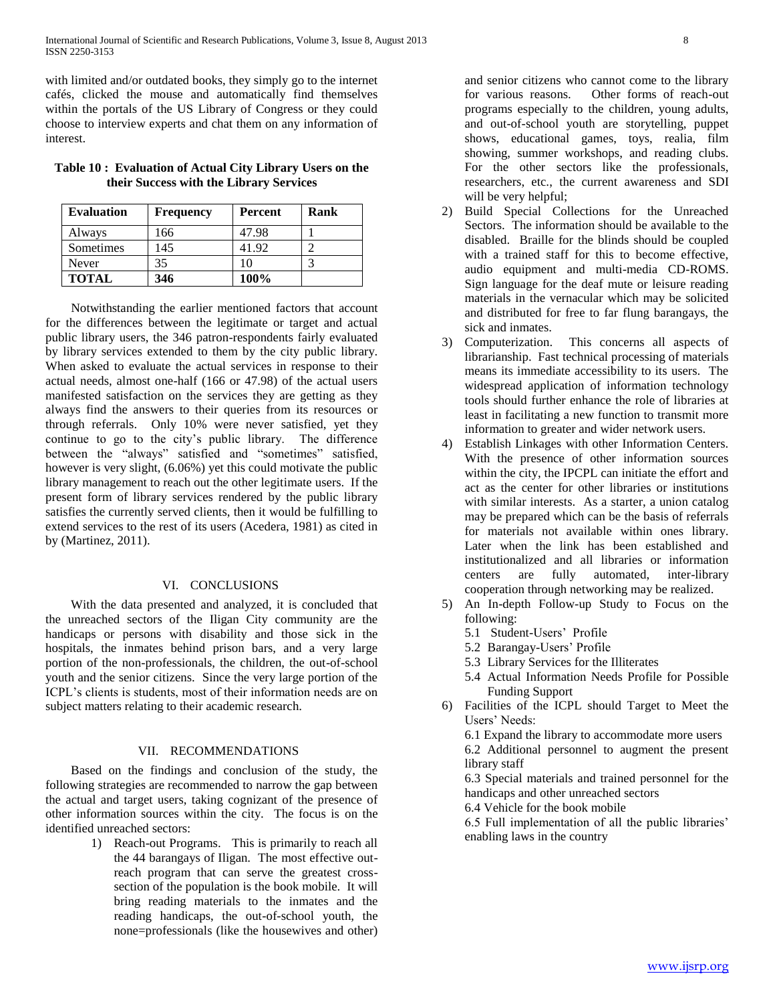with limited and/or outdated books, they simply go to the internet cafés, clicked the mouse and automatically find themselves within the portals of the US Library of Congress or they could choose to interview experts and chat them on any information of interest.

# **Table 10 : Evaluation of Actual City Library Users on the their Success with the Library Services**

| <b>Evaluation</b> | <b>Frequency</b> | Percent | Rank |
|-------------------|------------------|---------|------|
| Always            | 166              | 47.98   |      |
| Sometimes         | 145              | 41.92   |      |
| Never             | 35               | 10      |      |
| <b>TOTAL</b>      | 346              | 100%    |      |

 Notwithstanding the earlier mentioned factors that account for the differences between the legitimate or target and actual public library users, the 346 patron-respondents fairly evaluated by library services extended to them by the city public library. When asked to evaluate the actual services in response to their actual needs, almost one-half (166 or 47.98) of the actual users manifested satisfaction on the services they are getting as they always find the answers to their queries from its resources or through referrals. Only 10% were never satisfied, yet they continue to go to the city's public library. The difference between the "always" satisfied and "sometimes" satisfied, however is very slight, (6.06%) yet this could motivate the public library management to reach out the other legitimate users. If the present form of library services rendered by the public library satisfies the currently served clients, then it would be fulfilling to extend services to the rest of its users (Acedera, 1981) as cited in by (Martinez, 2011).

# VI. CONCLUSIONS

 With the data presented and analyzed, it is concluded that the unreached sectors of the Iligan City community are the handicaps or persons with disability and those sick in the hospitals, the inmates behind prison bars, and a very large portion of the non-professionals, the children, the out-of-school youth and the senior citizens. Since the very large portion of the ICPL's clients is students, most of their information needs are on subject matters relating to their academic research.

# VII. RECOMMENDATIONS

 Based on the findings and conclusion of the study, the following strategies are recommended to narrow the gap between the actual and target users, taking cognizant of the presence of other information sources within the city. The focus is on the identified unreached sectors:

1) Reach-out Programs. This is primarily to reach all the 44 barangays of Iligan. The most effective outreach program that can serve the greatest crosssection of the population is the book mobile. It will bring reading materials to the inmates and the reading handicaps, the out-of-school youth, the none=professionals (like the housewives and other) and senior citizens who cannot come to the library for various reasons. Other forms of reach-out programs especially to the children, young adults, and out-of-school youth are storytelling, puppet shows, educational games, toys, realia, film showing, summer workshops, and reading clubs. For the other sectors like the professionals, researchers, etc., the current awareness and SDI will be very helpful;

- 2) Build Special Collections for the Unreached Sectors. The information should be available to the disabled. Braille for the blinds should be coupled with a trained staff for this to become effective, audio equipment and multi-media CD-ROMS. Sign language for the deaf mute or leisure reading materials in the vernacular which may be solicited and distributed for free to far flung barangays, the sick and inmates.
- 3) Computerization. This concerns all aspects of librarianship. Fast technical processing of materials means its immediate accessibility to its users. The widespread application of information technology tools should further enhance the role of libraries at least in facilitating a new function to transmit more information to greater and wider network users.
- 4) Establish Linkages with other Information Centers. With the presence of other information sources within the city, the IPCPL can initiate the effort and act as the center for other libraries or institutions with similar interests. As a starter, a union catalog may be prepared which can be the basis of referrals for materials not available within ones library. Later when the link has been established and institutionalized and all libraries or information centers are fully automated, inter-library cooperation through networking may be realized.
- 5) An In-depth Follow-up Study to Focus on the following:
	- 5.1 Student-Users' Profile
	- 5.2 Barangay-Users' Profile
	- 5.3 Library Services for the Illiterates
	- 5.4 Actual Information Needs Profile for Possible Funding Support
- 6) Facilities of the ICPL should Target to Meet the Users' Needs:

6.1 Expand the library to accommodate more users 6.2 Additional personnel to augment the present library staff

6.3 Special materials and trained personnel for the handicaps and other unreached sectors

6.4 Vehicle for the book mobile

6.5 Full implementation of all the public libraries' enabling laws in the country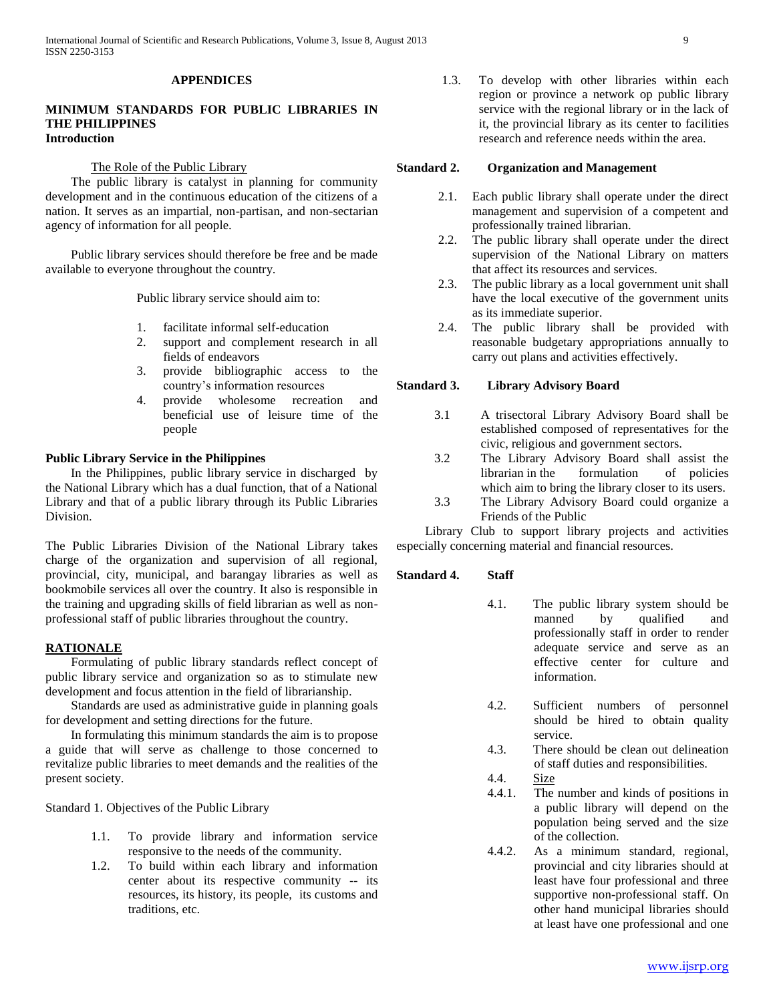#### **MINIMUM STANDARDS FOR PUBLIC LIBRARIES IN THE PHILIPPINES Introduction**

# The Role of the Public Library

 The public library is catalyst in planning for community development and in the continuous education of the citizens of a nation. It serves as an impartial, non-partisan, and non-sectarian agency of information for all people.

 Public library services should therefore be free and be made available to everyone throughout the country.

Public library service should aim to:

- 1. facilitate informal self-education
- 2. support and complement research in all fields of endeavors
- 3. provide bibliographic access to the country's information resources
- 4. provide wholesome recreation and beneficial use of leisure time of the people

# **Public Library Service in the Philippines**

 In the Philippines, public library service in discharged by the National Library which has a dual function, that of a National Library and that of a public library through its Public Libraries Division.

The Public Libraries Division of the National Library takes charge of the organization and supervision of all regional, provincial, city, municipal, and barangay libraries as well as bookmobile services all over the country. It also is responsible in the training and upgrading skills of field librarian as well as nonprofessional staff of public libraries throughout the country.

# **RATIONALE**

 Formulating of public library standards reflect concept of public library service and organization so as to stimulate new development and focus attention in the field of librarianship.

 Standards are used as administrative guide in planning goals for development and setting directions for the future.

 In formulating this minimum standards the aim is to propose a guide that will serve as challenge to those concerned to revitalize public libraries to meet demands and the realities of the present society.

Standard 1. Objectives of the Public Library

- 1.1. To provide library and information service responsive to the needs of the community.
- 1.2. To build within each library and information center about its respective community -- its resources, its history, its people, its customs and traditions, etc.

1.3. To develop with other libraries within each region or province a network op public library service with the regional library or in the lack of it, the provincial library as its center to facilities research and reference needs within the area.

#### **Standard 2. Organization and Management**

- 2.1. Each public library shall operate under the direct management and supervision of a competent and professionally trained librarian.
- 2.2. The public library shall operate under the direct supervision of the National Library on matters that affect its resources and services.
- 2.3. The public library as a local government unit shall have the local executive of the government units as its immediate superior.
- 2.4. The public library shall be provided with reasonable budgetary appropriations annually to carry out plans and activities effectively.

# **Standard 3. Library Advisory Board**

- 3.1 A trisectoral Library Advisory Board shall be established composed of representatives for the civic, religious and government sectors.
- 3.2 The Library Advisory Board shall assist the librarian in the formulation of policies which aim to bring the library closer to its users.
- 3.3 The Library Advisory Board could organize a Friends of the Public

 Library Club to support library projects and activities especially concerning material and financial resources.

#### **Standard 4. Staff**

- 4.1. The public library system should be manned by qualified and professionally staff in order to render adequate service and serve as an effective center for culture and information.
- 4.2. Sufficient numbers of personnel should be hired to obtain quality service.
- 4.3. There should be clean out delineation of staff duties and responsibilities.
- 4.4.1. Size<br>4.4.1. The
- The number and kinds of positions in a public library will depend on the population being served and the size of the collection.
- 4.4.2. As a minimum standard, regional, provincial and city libraries should at least have four professional and three supportive non-professional staff. On other hand municipal libraries should at least have one professional and one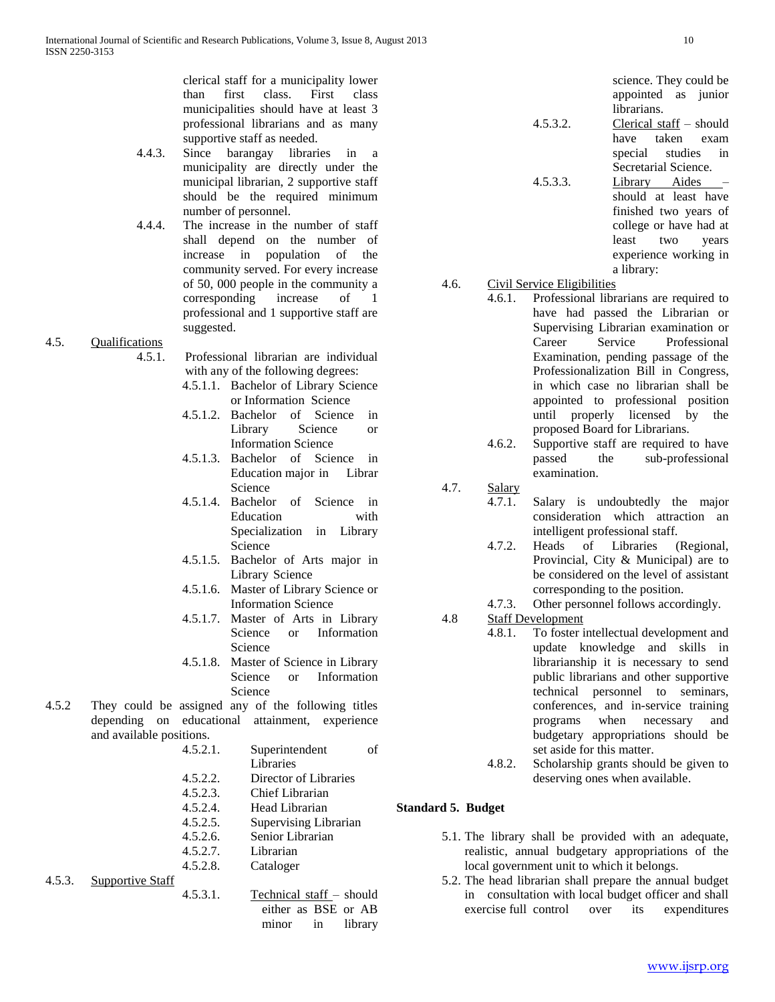clerical staff for a municipality lower than first class. First class municipalities should have at least 3 professional librarians and as many supportive staff as needed.

- 4.4.3. Since barangay libraries in a municipality are directly under the municipal librarian, 2 supportive staff should be the required minimum number of personnel.
- 4.4.4. The increase in the number of staff shall depend on the number of increase in population of the community served. For every increase of 50, 000 people in the community a corresponding increase of 1 professional and 1 supportive staff are suggested.
- 4.5. Qualifications
	- 4.5.1. Professional librarian are individual with any of the following degrees:
		- 4.5.1.1. Bachelor of Library Science or Information Science
		- 4.5.1.2. Bachelor of Science in Library Science or Information Science
		- 4.5.1.3. Bachelor of Science in Education major in Librar Science
		- 4.5.1.4. Bachelor of Science in Education with Specialization in Library Science
		- 4.5.1.5. Bachelor of Arts major in Library Science
		- 4.5.1.6. Master of Library Science or Information Science
		- 4.5.1.7. Master of Arts in Library Science or Information Science
		- 4.5.1.8. Master of Science in Library Science or Information Science
- 4.5.2 They could be assigned any of the following titles depending on educational attainment, experience and available positions.
	- 4.5.2.1. Superintendent of Libraries 4.5.2.2. Director of Libraries
		- 4.5.2.3. Chief Librarian
		- 4.5.2.4. Head Librarian
		- 4.5.2.5. Supervising Librarian
		- 4.5.2.6. Senior Librarian
		- 4.5.2.7. Librarian
		- 4.5.2.8. Cataloger
- 4.5.3. Supportive Staff
	-

4.5.3.1. Technical staff – should either as BSE or AB minor in library

- science. They could be appointed as junior librarians.
- 4.5.3.2. Clerical staff should have taken exam special studies in Secretarial Science.
- 4.5.3.3. Library Aides should at least have finished two years of college or have had at least two years experience working in a library:
- 4.6. Civil Service Eligibilities
	- 4.6.1. Professional librarians are required to have had passed the Librarian or Supervising Librarian examination or Career Service Professional Examination, pending passage of the Professionalization Bill in Congress, in which case no librarian shall be appointed to professional position until properly licensed by the proposed Board for Librarians.
	- 4.6.2. Supportive staff are required to have passed the sub-professional examination.
- 4.7. Salary 4.7.1. Salary is undoubtedly the major consideration which attraction an intelligent professional staff.
	- 4.7.2. Heads of Libraries (Regional, Provincial, City & Municipal) are to be considered on the level of assistant corresponding to the position.
	- 4.7.3. Other personnel follows accordingly.
- 4.8 Staff Development
	- 4.8.1. To foster intellectual development and update knowledge and skills in librarianship it is necessary to send public librarians and other supportive technical personnel to seminars, conferences, and in-service training programs when necessary and budgetary appropriations should be set aside for this matter.
	- 4.8.2. Scholarship grants should be given to deserving ones when available.

# **Standard 5. Budget**

- 5.1. The library shall be provided with an adequate, realistic, annual budgetary appropriations of the local government unit to which it belongs.
- 5.2. The head librarian shall prepare the annual budget in consultation with local budget officer and shall exercise full control over its expenditures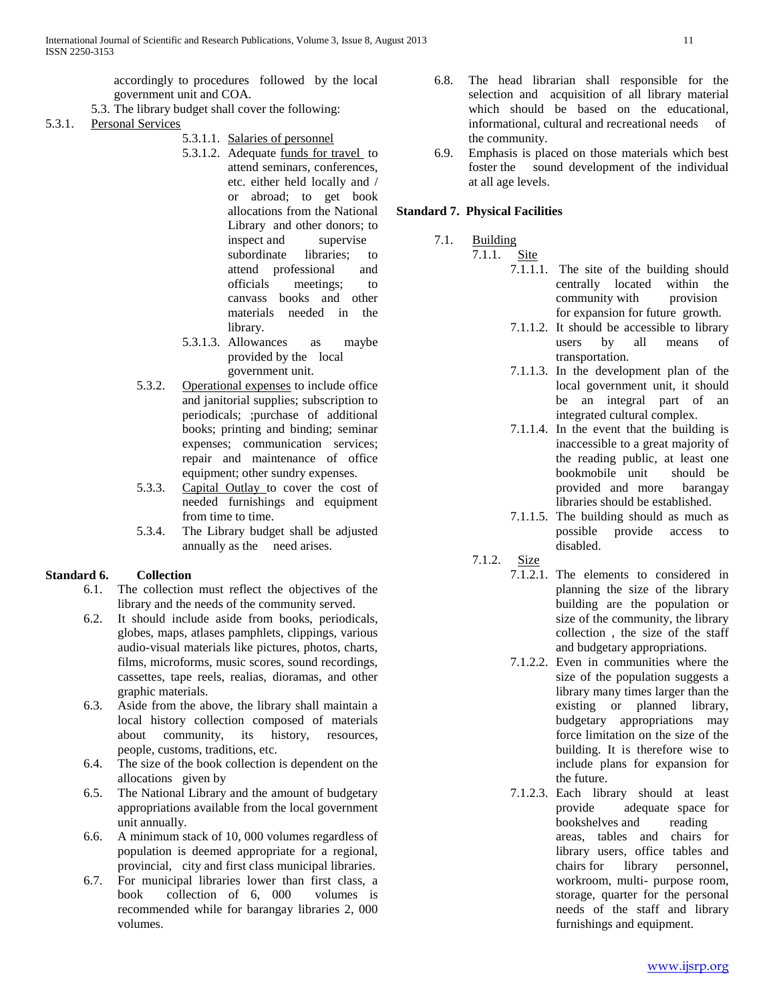accordingly to procedures followed by the local government unit and COA.

- 5.3. The library budget shall cover the following:
- 5.3.1. Personal Services
	- 5.3.1.1. Salaries of personnel
		- 5.3.1.2. Adequate funds for travel to attend seminars, conferences, etc. either held locally and / or abroad; to get book allocations from the National Library and other donors; to inspect and supervise subordinate libraries; to attend professional and officials meetings; to canvass books and other materials needed in the library.
		- 5.3.1.3. Allowances as maybe provided by the local government unit.
	- 5.3.2. Operational expenses to include office and janitorial supplies; subscription to periodicals; ;purchase of additional books; printing and binding; seminar expenses; communication services; repair and maintenance of office equipment; other sundry expenses.
	- 5.3.3. Capital Outlay to cover the cost of needed furnishings and equipment from time to time.
	- 5.3.4. The Library budget shall be adjusted annually as the need arises.

# **Standard 6. Collection**

- 6.1. The collection must reflect the objectives of the library and the needs of the community served.
- 6.2. It should include aside from books, periodicals, globes, maps, atlases pamphlets, clippings, various audio-visual materials like pictures, photos, charts, films, microforms, music scores, sound recordings, cassettes, tape reels, realias, dioramas, and other graphic materials.
- 6.3. Aside from the above, the library shall maintain a local history collection composed of materials about community, its history, resources, people, customs, traditions, etc.
- 6.4. The size of the book collection is dependent on the allocations given by
- 6.5. The National Library and the amount of budgetary appropriations available from the local government unit annually.
- 6.6. A minimum stack of 10, 000 volumes regardless of population is deemed appropriate for a regional, provincial, city and first class municipal libraries.
- 6.7. For municipal libraries lower than first class, a book collection of 6, 000 volumes is recommended while for barangay libraries 2, 000 volumes.
- 6.8. The head librarian shall responsible for the selection and acquisition of all library material which should be based on the educational, informational, cultural and recreational needs of the community.
- 6.9. Emphasis is placed on those materials which best foster the sound development of the individual at all age levels.

# **Standard 7. Physical Facilities**

7.1. Building

7.1.1. Site

- 7.1.1.1. The site of the building should centrally located within the community with provision for expansion for future growth.
- 7.1.1.2. It should be accessible to library users by all means of transportation.
- 7.1.1.3. In the development plan of the local government unit, it should be an integral part of an integrated cultural complex.
- 7.1.1.4. In the event that the building is inaccessible to a great majority of the reading public, at least one bookmobile unit should be provided and more barangay libraries should be established.
- 7.1.1.5. The building should as much as possible provide access to disabled.
- 7.1.2. Size
	- 7.1.2.1. The elements to considered in planning the size of the library building are the population or size of the community, the library collection , the size of the staff and budgetary appropriations.
	- 7.1.2.2. Even in communities where the size of the population suggests a library many times larger than the existing or planned library, budgetary appropriations may force limitation on the size of the building. It is therefore wise to include plans for expansion for the future.
	- 7.1.2.3. Each library should at least provide adequate space for bookshelves and reading areas, tables and chairs for library users, office tables and chairs for library personnel, workroom, multi- purpose room, storage, quarter for the personal needs of the staff and library furnishings and equipment.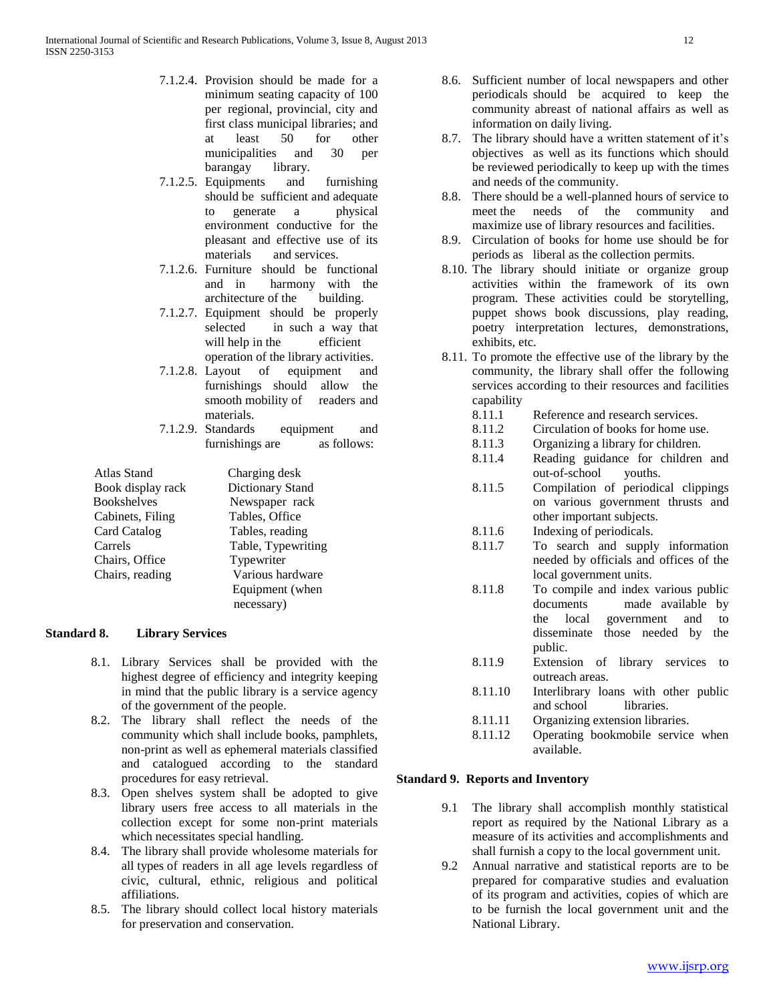- 7.1.2.4. Provision should be made for a minimum seating capacity of 100 per regional, provincial, city and first class municipal libraries; and at least 50 for other municipalities and 30 per barangay library.
- 7.1.2.5. Equipments and furnishing should be sufficient and adequate<br>to generate a physical to generate a environment conductive for the pleasant and effective use of its materials and services.
- 7.1.2.6. Furniture should be functional and in harmony with the architecture of the building.
- 7.1.2.7. Equipment should be properly selected in such a way that will help in the efficient operation of the library activities.
- 7.1.2.8. Layout of equipment and furnishings should allow the smooth mobility of readers and materials.
- 7.1.2.9. Standards equipment and furnishings are as follows:

| Atlas Stand        | Charging desk           |  |
|--------------------|-------------------------|--|
| Book display rack  | <b>Dictionary Stand</b> |  |
| <b>Bookshelves</b> | Newspaper rack          |  |
| Cabinets, Filing   | Tables, Office          |  |
| Card Catalog       | Tables, reading         |  |
| Carrels            | Table, Typewriting      |  |
| Chairs, Office     | Typewriter              |  |
| Chairs, reading    | Various hardware        |  |
|                    | Equipment (when         |  |
|                    | necessary)              |  |

# **Standard 8. Library Services**

- 8.1. Library Services shall be provided with the highest degree of efficiency and integrity keeping in mind that the public library is a service agency of the government of the people.
- 8.2. The library shall reflect the needs of the community which shall include books, pamphlets, non-print as well as ephemeral materials classified and catalogued according to the standard procedures for easy retrieval.
- 8.3. Open shelves system shall be adopted to give library users free access to all materials in the collection except for some non-print materials which necessitates special handling.
- 8.4. The library shall provide wholesome materials for all types of readers in all age levels regardless of civic, cultural, ethnic, religious and political affiliations.
- 8.5. The library should collect local history materials for preservation and conservation.
- 8.6. Sufficient number of local newspapers and other periodicals should be acquired to keep the community abreast of national affairs as well as information on daily living.
- 8.7. The library should have a written statement of it's objectives as well as its functions which should be reviewed periodically to keep up with the times and needs of the community.
- 8.8. There should be a well-planned hours of service to meet the needs of the community and maximize use of library resources and facilities.
- 8.9. Circulation of books for home use should be for periods as liberal as the collection permits.
- 8.10. The library should initiate or organize group activities within the framework of its own program. These activities could be storytelling, puppet shows book discussions, play reading, poetry interpretation lectures, demonstrations, exhibits, etc.
- 8.11. To promote the effective use of the library by the community, the library shall offer the following services according to their resources and facilities capability
	- 8.11.1 Reference and research services.
	- 8.11.2 Circulation of books for home use.
	- 8.11.3 Organizing a library for children.
	- 8.11.4 Reading guidance for children and out-of-school youths.
	- 8.11.5 Compilation of periodical clippings on various government thrusts and other important subjects.
	- 8.11.6 Indexing of periodicals.
	- 8.11.7 To search and supply information needed by officials and offices of the local government units.
	- 8.11.8 To compile and index various public documents made available by the local government and to disseminate those needed by the public.
	- 8.11.9 Extension of library services to outreach areas.
	- 8.11.10 Interlibrary loans with other public and school libraries.
	- 8.11.11 Organizing extension libraries.
	- 8.11.12 Operating bookmobile service when available.

# **Standard 9. Reports and Inventory**

- 9.1 The library shall accomplish monthly statistical report as required by the National Library as a measure of its activities and accomplishments and shall furnish a copy to the local government unit.
- 9.2 Annual narrative and statistical reports are to be prepared for comparative studies and evaluation of its program and activities, copies of which are to be furnish the local government unit and the National Library.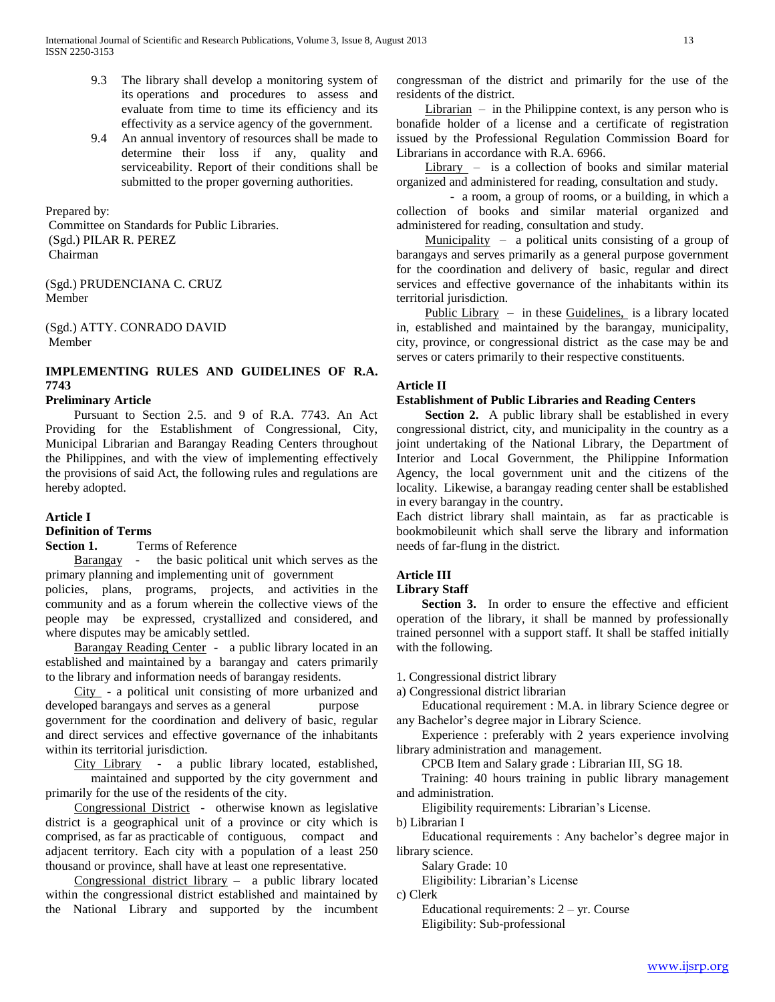- 9.3 The library shall develop a monitoring system of its operations and procedures to assess and evaluate from time to time its efficiency and its effectivity as a service agency of the government.
- 9.4 An annual inventory of resources shall be made to determine their loss if any, quality and serviceability. Report of their conditions shall be submitted to the proper governing authorities.

Prepared by:

Committee on Standards for Public Libraries. (Sgd.) PILAR R. PEREZ Chairman

(Sgd.) PRUDENCIANA C. CRUZ Member

(Sgd.) ATTY. CONRADO DAVID Member

# **IMPLEMENTING RULES AND GUIDELINES OF R.A. 7743**

#### **Preliminary Article**

 Pursuant to Section 2.5. and 9 of R.A. 7743. An Act Providing for the Establishment of Congressional, City, Municipal Librarian and Barangay Reading Centers throughout the Philippines, and with the view of implementing effectively the provisions of said Act, the following rules and regulations are hereby adopted.

#### **Article I**

#### **Definition of Terms**

**Section 1.** Terms of Reference

 Barangay - the basic political unit which serves as the primary planning and implementing unit of government policies, plans, programs, projects, and activities in the community and as a forum wherein the collective views of the

people may be expressed, crystallized and considered, and where disputes may be amicably settled. Barangay Reading Center - a public library located in an

established and maintained by a barangay and caters primarily to the library and information needs of barangay residents.

 City - a political unit consisting of more urbanized and developed barangays and serves as a general purpose government for the coordination and delivery of basic, regular and direct services and effective governance of the inhabitants within its territorial jurisdiction.

 City Library - a public library located, established, maintained and supported by the city government and primarily for the use of the residents of the city.

 Congressional District - otherwise known as legislative district is a geographical unit of a province or city which is comprised, as far as practicable of contiguous, compact and adjacent territory. Each city with a population of a least 250 thousand or province, shall have at least one representative.

 Congressional district library – a public library located within the congressional district established and maintained by the National Library and supported by the incumbent congressman of the district and primarily for the use of the residents of the district.

Librarian  $-$  in the Philippine context, is any person who is bonafide holder of a license and a certificate of registration issued by the Professional Regulation Commission Board for Librarians in accordance with R.A. 6966.

 Library – is a collection of books and similar material organized and administered for reading, consultation and study.

 - a room, a group of rooms, or a building, in which a collection of books and similar material organized and administered for reading, consultation and study.

 Municipality – a political units consisting of a group of barangays and serves primarily as a general purpose government for the coordination and delivery of basic, regular and direct services and effective governance of the inhabitants within its territorial jurisdiction.

Public Library – in these Guidelines, is a library located in, established and maintained by the barangay, municipality, city, province, or congressional district as the case may be and serves or caters primarily to their respective constituents.

#### **Article II**

#### **Establishment of Public Libraries and Reading Centers**

 **Section 2.** A public library shall be established in every congressional district, city, and municipality in the country as a joint undertaking of the National Library, the Department of Interior and Local Government, the Philippine Information Agency, the local government unit and the citizens of the locality. Likewise, a barangay reading center shall be established in every barangay in the country.

Each district library shall maintain, as far as practicable is bookmobileunit which shall serve the library and information needs of far-flung in the district.

#### **Article III**

# **Library Staff**

Section 3. In order to ensure the effective and efficient operation of the library, it shall be manned by professionally trained personnel with a support staff. It shall be staffed initially with the following.

1. Congressional district library

a) Congressional district librarian

Educational requirement : M.A. in library Science degree or any Bachelor's degree major in Library Science.

Experience : preferably with 2 years experience involving library administration and management.

CPCB Item and Salary grade : Librarian III, SG 18.

Training: 40 hours training in public library management and administration.

Eligibility requirements: Librarian's License.

b) Librarian I

Educational requirements : Any bachelor's degree major in library science.

Salary Grade: 10

Eligibility: Librarian's License

c) Clerk

Educational requirements:  $2 - yr$ . Course

Eligibility: Sub-professional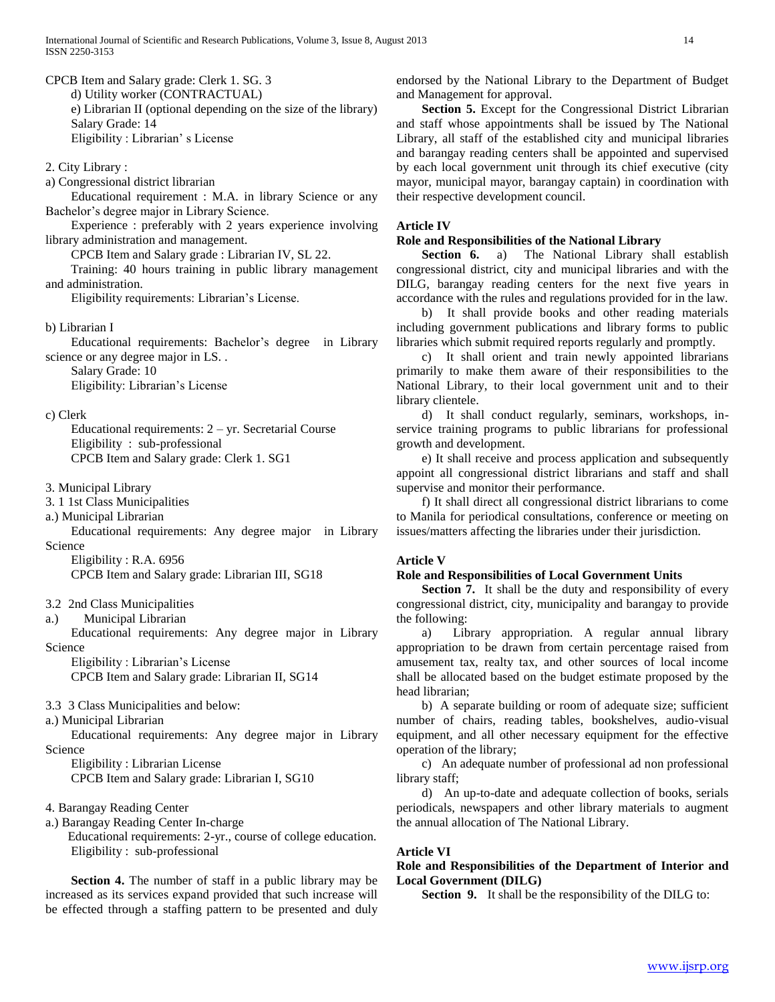CPCB Item and Salary grade: Clerk 1. SG. 3 d) Utility worker (CONTRACTUAL) e) Librarian II (optional depending on the size of the library) Salary Grade: 14

Eligibility : Librarian' s License

2. City Library :

a) Congressional district librarian

Educational requirement : M.A. in library Science or any Bachelor's degree major in Library Science.

Experience : preferably with 2 years experience involving library administration and management.

CPCB Item and Salary grade : Librarian IV, SL 22.

Training: 40 hours training in public library management and administration.

Eligibility requirements: Librarian's License.

b) Librarian I

Educational requirements: Bachelor's degree in Library science or any degree major in LS. .

Salary Grade: 10

Eligibility: Librarian's License

#### c) Clerk

Educational requirements:  $2 - yr$ . Secretarial Course Eligibility : sub-professional CPCB Item and Salary grade: Clerk 1. SG1

3. Municipal Library

3. 1 1st Class Municipalities

a.) Municipal Librarian

Educational requirements: Any degree major in Library Science

Eligibility : R.A. 6956 CPCB Item and Salary grade: Librarian III, SG18

#### 3.2 2nd Class Municipalities

a.)Municipal Librarian

Educational requirements: Any degree major in Library Science

Eligibility : Librarian's License

CPCB Item and Salary grade: Librarian II, SG14

3.3 3 Class Municipalities and below:

a.) Municipal Librarian

Educational requirements: Any degree major in Library Science

Eligibility : Librarian License CPCB Item and Salary grade: Librarian I, SG10

# 4. Barangay Reading Center

a.) Barangay Reading Center In-charge Educational requirements: 2-yr., course of college education. Eligibility : sub-professional

 **Section 4.** The number of staff in a public library may be increased as its services expand provided that such increase will be effected through a staffing pattern to be presented and duly

endorsed by the National Library to the Department of Budget and Management for approval.

 **Section 5.** Except for the Congressional District Librarian and staff whose appointments shall be issued by The National Library, all staff of the established city and municipal libraries and barangay reading centers shall be appointed and supervised by each local government unit through its chief executive (city mayor, municipal mayor, barangay captain) in coordination with their respective development council.

# **Article IV**

#### **Role and Responsibilities of the National Library**

 **Section 6.** a) The National Library shall establish congressional district, city and municipal libraries and with the DILG, barangay reading centers for the next five years in accordance with the rules and regulations provided for in the law.

b) It shall provide books and other reading materials including government publications and library forms to public libraries which submit required reports regularly and promptly.

c) It shall orient and train newly appointed librarians primarily to make them aware of their responsibilities to the National Library, to their local government unit and to their library clientele.

d) It shall conduct regularly, seminars, workshops, inservice training programs to public librarians for professional growth and development.

e) It shall receive and process application and subsequently appoint all congressional district librarians and staff and shall supervise and monitor their performance.

f) It shall direct all congressional district librarians to come to Manila for periodical consultations, conference or meeting on issues/matters affecting the libraries under their jurisdiction.

#### **Article V**

#### **Role and Responsibilities of Local Government Units**

 **Section 7.** It shall be the duty and responsibility of every congressional district, city, municipality and barangay to provide the following:

a) Library appropriation. A regular annual library appropriation to be drawn from certain percentage raised from amusement tax, realty tax, and other sources of local income shall be allocated based on the budget estimate proposed by the head librarian;

b) A separate building or room of adequate size; sufficient number of chairs, reading tables, bookshelves, audio-visual equipment, and all other necessary equipment for the effective operation of the library;

c) An adequate number of professional ad non professional library staff;

d) An up-to-date and adequate collection of books, serials periodicals, newspapers and other library materials to augment the annual allocation of The National Library.

#### **Article VI**

# **Role and Responsibilities of the Department of Interior and Local Government (DILG)**

**Section 9.** It shall be the responsibility of the DILG to: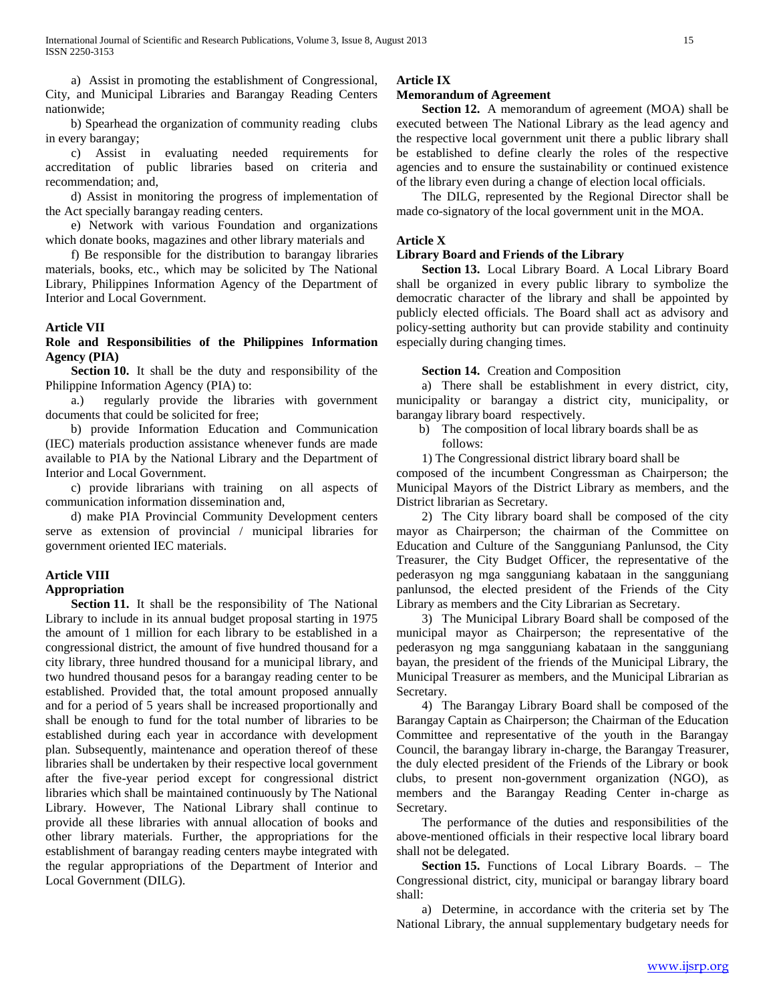a) Assist in promoting the establishment of Congressional, City, and Municipal Libraries and Barangay Reading Centers nationwide;

b) Spearhead the organization of community reading clubs in every barangay;

c) Assist in evaluating needed requirements for accreditation of public libraries based on criteria and recommendation; and,

d) Assist in monitoring the progress of implementation of the Act specially barangay reading centers.

e) Network with various Foundation and organizations which donate books, magazines and other library materials and

f) Be responsible for the distribution to barangay libraries materials, books, etc., which may be solicited by The National Library, Philippines Information Agency of the Department of Interior and Local Government.

#### **Article VII**

# **Role and Responsibilities of the Philippines Information Agency (PIA)**

 **Section 10.** It shall be the duty and responsibility of the Philippine Information Agency (PIA) to:

a.) regularly provide the libraries with government documents that could be solicited for free;

b) provide Information Education and Communication (IEC) materials production assistance whenever funds are made available to PIA by the National Library and the Department of Interior and Local Government.

c) provide librarians with training on all aspects of communication information dissemination and,

d) make PIA Provincial Community Development centers serve as extension of provincial / municipal libraries for government oriented IEC materials.

#### **Article VIII**

#### **Appropriation**

 **Section 11.** It shall be the responsibility of The National Library to include in its annual budget proposal starting in 1975 the amount of 1 million for each library to be established in a congressional district, the amount of five hundred thousand for a city library, three hundred thousand for a municipal library, and two hundred thousand pesos for a barangay reading center to be established. Provided that, the total amount proposed annually and for a period of 5 years shall be increased proportionally and shall be enough to fund for the total number of libraries to be established during each year in accordance with development plan. Subsequently, maintenance and operation thereof of these libraries shall be undertaken by their respective local government after the five-year period except for congressional district libraries which shall be maintained continuously by The National Library. However, The National Library shall continue to provide all these libraries with annual allocation of books and other library materials. Further, the appropriations for the establishment of barangay reading centers maybe integrated with the regular appropriations of the Department of Interior and Local Government (DILG).

# **Article IX**

# **Memorandum of Agreement**

 **Section 12.** A memorandum of agreement (MOA) shall be executed between The National Library as the lead agency and the respective local government unit there a public library shall be established to define clearly the roles of the respective agencies and to ensure the sustainability or continued existence of the library even during a change of election local officials.

The DILG, represented by the Regional Director shall be made co-signatory of the local government unit in the MOA.

#### **Article X**

#### **Library Board and Friends of the Library**

 **Section 13.** Local Library Board. A Local Library Board shall be organized in every public library to symbolize the democratic character of the library and shall be appointed by publicly elected officials. The Board shall act as advisory and policy-setting authority but can provide stability and continuity especially during changing times.

 **Section 14.** Creation and Composition

a) There shall be establishment in every district, city, municipality or barangay a district city, municipality, or barangay library board respectively.

- b) The composition of local library boards shall be as follows:
- 1) The Congressional district library board shall be

composed of the incumbent Congressman as Chairperson; the Municipal Mayors of the District Library as members, and the District librarian as Secretary.

2) The City library board shall be composed of the city mayor as Chairperson; the chairman of the Committee on Education and Culture of the Sangguniang Panlunsod, the City Treasurer, the City Budget Officer, the representative of the pederasyon ng mga sangguniang kabataan in the sangguniang panlunsod, the elected president of the Friends of the City Library as members and the City Librarian as Secretary.

3) The Municipal Library Board shall be composed of the municipal mayor as Chairperson; the representative of the pederasyon ng mga sangguniang kabataan in the sangguniang bayan, the president of the friends of the Municipal Library, the Municipal Treasurer as members, and the Municipal Librarian as Secretary.

4) The Barangay Library Board shall be composed of the Barangay Captain as Chairperson; the Chairman of the Education Committee and representative of the youth in the Barangay Council, the barangay library in-charge, the Barangay Treasurer, the duly elected president of the Friends of the Library or book clubs, to present non-government organization (NGO), as members and the Barangay Reading Center in-charge as Secretary.

The performance of the duties and responsibilities of the above-mentioned officials in their respective local library board shall not be delegated.

 **Section 15.** Functions of Local Library Boards. – The Congressional district, city, municipal or barangay library board shall:

a) Determine, in accordance with the criteria set by The National Library, the annual supplementary budgetary needs for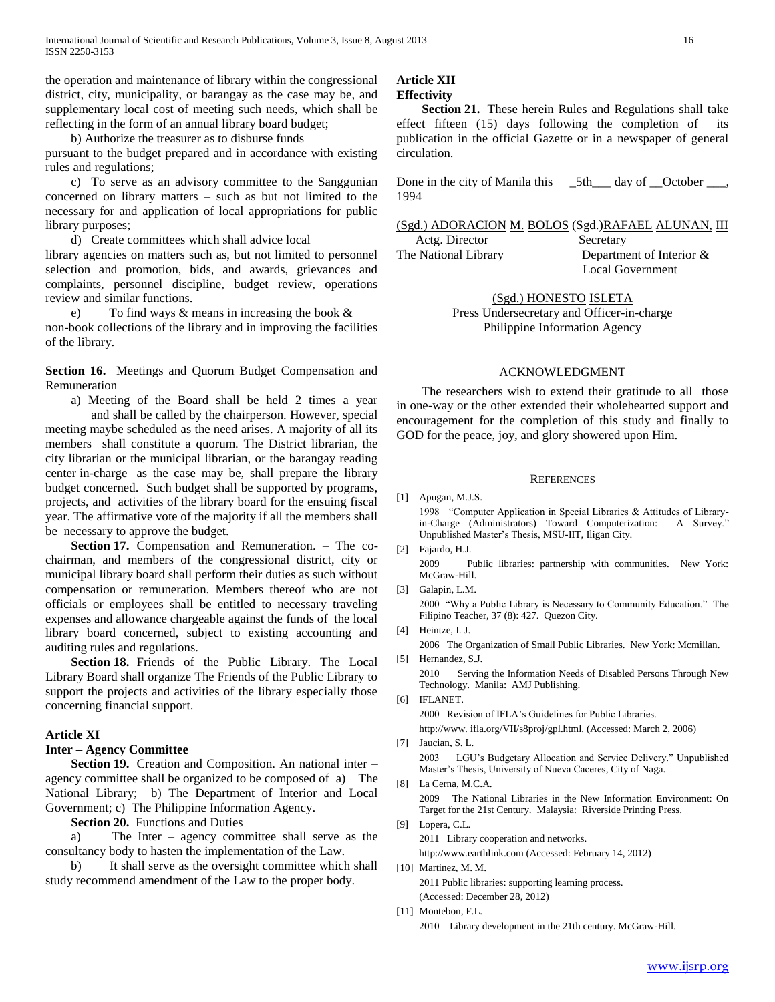the operation and maintenance of library within the congressional district, city, municipality, or barangay as the case may be, and supplementary local cost of meeting such needs, which shall be reflecting in the form of an annual library board budget;

b) Authorize the treasurer as to disburse funds

pursuant to the budget prepared and in accordance with existing rules and regulations;

c) To serve as an advisory committee to the Sanggunian concerned on library matters – such as but not limited to the necessary for and application of local appropriations for public library purposes;

d) Create committees which shall advice local library agencies on matters such as, but not limited to personnel selection and promotion, bids, and awards, grievances and complaints, personnel discipline, budget review, operations review and similar functions.

e) To find ways & means in increasing the book & non-book collections of the library and in improving the facilities of the library.

**Section 16.** Meetings and Quorum Budget Compensation and Remuneration

a) Meeting of the Board shall be held 2 times a year

and shall be called by the chairperson. However, special meeting maybe scheduled as the need arises. A majority of all its members shall constitute a quorum. The District librarian, the city librarian or the municipal librarian, or the barangay reading center in-charge as the case may be, shall prepare the library budget concerned. Such budget shall be supported by programs, projects, and activities of the library board for the ensuing fiscal year. The affirmative vote of the majority if all the members shall be necessary to approve the budget.

 **Section 17.** Compensation and Remuneration. – The cochairman, and members of the congressional district, city or municipal library board shall perform their duties as such without compensation or remuneration. Members thereof who are not officials or employees shall be entitled to necessary traveling expenses and allowance chargeable against the funds of the local library board concerned, subject to existing accounting and auditing rules and regulations.

 **Section 18.** Friends of the Public Library. The Local Library Board shall organize The Friends of the Public Library to support the projects and activities of the library especially those concerning financial support.

# **Article XI**

### **Inter – Agency Committee**

 **Section 19.** Creation and Composition. An national inter – agency committee shall be organized to be composed of a) The National Library; b) The Department of Interior and Local Government; c) The Philippine Information Agency.

 **Section 20.** Functions and Duties

a) The Inter – agency committee shall serve as the consultancy body to hasten the implementation of the Law.

b) It shall serve as the oversight committee which shall study recommend amendment of the Law to the proper body.

# **Article XII Effectivity**

 **Section 21.** These herein Rules and Regulations shall take effect fifteen (15) days following the completion of its publication in the official Gazette or in a newspaper of general circulation.

Done in the city of Manila this  $\_5th$  day of  $\_October$ 1994

(Sgd.) ADORACION M. BOLOS (Sgd.)RAFAEL ALUNAN, III

Actg. Director Secretary

The National Library Department of Interior & Local Government

> (Sgd.) HONESTO ISLETA Press Undersecretary and Officer-in-charge Philippine Information Agency

#### ACKNOWLEDGMENT

 The researchers wish to extend their gratitude to all those in one-way or the other extended their wholehearted support and encouragement for the completion of this study and finally to GOD for the peace, joy, and glory showered upon Him.

#### **REFERENCES**

[1] Apugan, M.J.S. 1998 "Computer Application in Special Libraries & Attitudes of Libraryin-Charge (Administrators) Toward Computerization: A Survey." Unpublished Master's Thesis, MSU-IIT, Iligan City.

- [2] Fajardo, H.J. 2009 Public libraries: partnership with communities. New York: McGraw-Hill.
- [3] Galapin, L.M. 2000 "Why a Public Library is Necessary to Community Education." The Filipino Teacher, 37 (8): 427. Quezon City.
- [4] Heintze, I. J. 2006 The Organization of Small Public Libraries. New York: Mcmillan. [5] Hernandez, S.J.

2010 Serving the Information Needs of Disabled Persons Through New Technology. Manila: AMJ Publishing.

- [6] IFLANET. 2000 Revision of IFLA's Guidelines for Public Libraries. http://www. ifla.org/VII/s8proj/gpl.html. (Accessed: March 2, 2006) [7] Jaucian, S. L.
	- 2003 LGU's Budgetary Allocation and Service Delivery." Unpublished Master's Thesis, University of Nueva Caceres, City of Naga.
- [8] La Cerna, M.C.A. 2009 The National Libraries in the New Information Environment: On Target for the 21st Century. Malaysia: Riverside Printing Press.
- [9] Lopera, C.L. 2011 Library cooperation and networks. http://www.earthlink.com (Accessed: February 14, 2012) [10] Martinez, M. M. 2011 Public libraries: supporting learning process.

(Accessed: December 28, 2012)

[11] Montebon, F.L.

2010 Library development in the 21th century. McGraw-Hill.